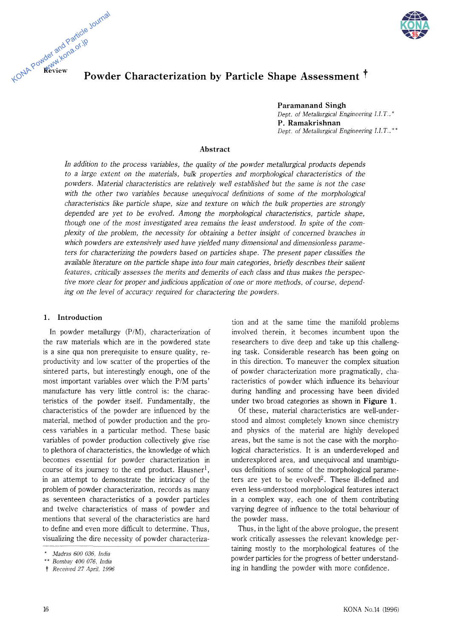

# **Review Powder Characterization by Particle Shape Assessment t**

**Paramanand Singh**  *Dept. of Metallurgical Engineering I.I.T.*,\* **P. Ramakrishnan**  *Dept. of Metallurgical Engineering I.I. T.,* \*\*

# **Abstract**

*In addition to the process variables, the quality of the powder metallurgical products depends to a large extent on the materials, bulk properties and morphological characteristics of the powders. Material characteristics are relatively well established but the same is not the case*  with the other two variables because unequivocal definitions of some of the morphological *characteristics like particle shape, size and texture on which the bulk properties are strongly depended are yet to be evolved. Among the morphological characteristics, particle shape, though one of the most investigated area remains the least understood. In spite of the complexity of the problem, the necessity for obtaining a better insight of concerned branches in which powders are extensively used have yielded many dimensional and dimensionless parameters for characterizing the powders based on particles shape. The present paper classifies the available literature on the particle shape into four main categories, briefly describes their salient features, critically assesses the merits and demerits of each class and thus makes the perspective more clear for proper and judicious application of one or more methods, of course, depending on the level of accuracy required for charactering the powders.* 

# **1. Introduction**

In powder metallurgy  $(P/M)$ , characterization of the raw materials which are in the powdered state is a sine qua non prerequisite to ensure quality, reproductivity and low scatter of the properties of the sintered parts, but interestingly enough, one of the most important variables over which the P/M parts' manufacture has very little control is: the characteristics of the powder itself. Fundamentally, the characteristics of the powder are influenced by the material, method of powder production and the process variables in a particular method. These basic variables of powder production collectively give rise to plethora of characteristics, the knowledge of which becomes essential for powder characterization in course of its journey to the end product. Hausner<sup>1</sup>, in an attempt to demonstrate the intricacy of the problem of powder characterization, records as many as seventeen characteristics of a powder particles and twelve characteristics of mass of powder and mentions that several of the characteristics are hard to define and even more difficult to determine. Thus, visualizing the dire necessity of powder characteriza-

tion and at the same time the manifold problems involved therein, it becomes incumbent upon the researchers to dive deep and take up this challenging task. Considerable research has been going on in this direction. To maneuver the complex situation of powder characterization more pragmatically, characteristics of powder which influence its behaviour during handling and processing have been divided under two broad categories as shown in **Figure 1.** 

Of these, material characteristics are well-understood and almost completely known since chemistry and physics of the material are highly developed areas, but the same is not the case with the morphological characteristics. It is an underdeveloped and underexplored area, and unequivocal and unambiguous definitions of some of the morphological parameters are yet to be evolved<sup>2</sup>. These ill-defined and even less-understood morphological features interact in a complex way, each one of them contributing varying degree of influence to the total behaviour of the powder mass.

Thus, in the light of the above prologue, the present work critically assesses the relevant knowledge pertaining mostly to the morphological features of the powder particles for the progress of better understanding in handling the powder with more confidence.

<sup>\*</sup> *Madras 600 036, India* 

<sup>\*\*</sup> *Bombay 400 076, India* 

t *Received 27 April, 1996*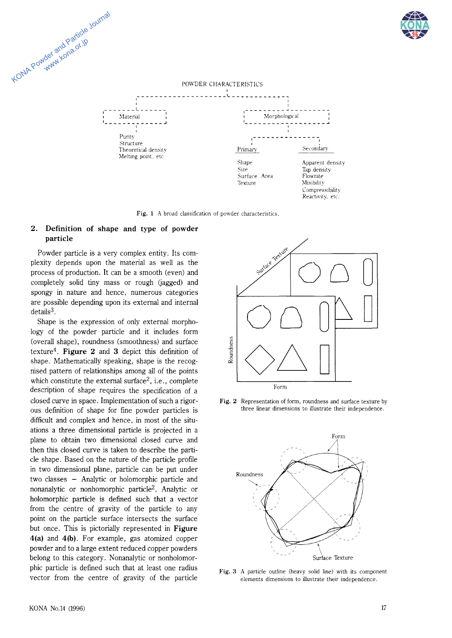



Fig. **1** A broad classification of powder characteristics.

# **2. Definition of shape and type of powder particle**

Powder particle is a very complex entity. Its complexity depends upon the material as well as the process of production. It can be a smooth (even) and completely solid tiny mass or rough Gagged) and spongy in nature and hence, numerous categories are possible depending upon its external and internal  $deta$ ils<sup>3</sup>.

Shape is the expression of only external morphology of the powder particle and it includes form (overall shape), roundness (smoothness) and surface texture<sup>4</sup> . **Figure 2** and **3** depict this definition of shape. Mathematically speaking, shape is the recognised pattern of relationships among all of the points which constitute the external surface<sup>2</sup>, i.e., complete description of shape requires the specification of a closed curve in space. Implementation of such a rigorous definition of shape for fine powder particles is difficult and complex and hence, in most of the situations a three dimensional particle is projected in a plane to obtain two dimensional closed curve and then this closed curve is taken to describe the particle shape. Based on the nature of the particle profile in two dimensional plane, particle can be put under two classes - Analytic or holomorphic particle and nonanalytic or nonhomorphic particle2. Analytic or holomorphic particle is defined such that a vector from the centre of gravity of the particle to any point on the particle surface intersects the surface but once. This is pictorially represented in **Figure 4(a)** and **4(b).** For example, gas atomized copper powder and to a large extent reduced copper powders belong to this category. Nonanalytic or nonholomorphic particle is defined such that at least one radius vector from the centre of gravity of the particle



**Fig.** 2 Representation of form, roundness and surface texture by three linear dimensions to illustrate their independence.



Fig. 3 A particle outline (heavy solid line) with its component elements dimensions to illustrate their independence.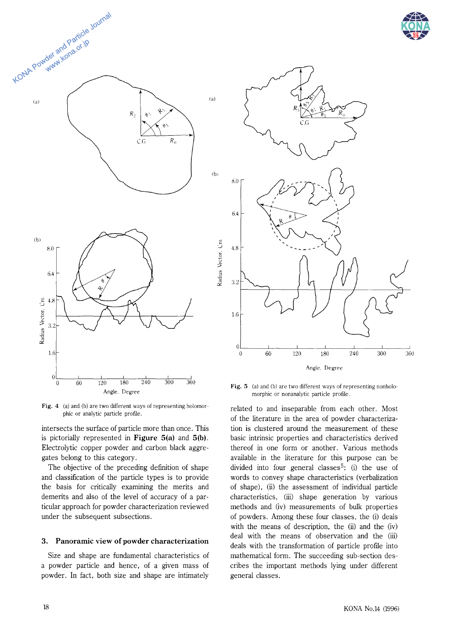



Fig. 4 (a) and (b) are two different ways of representing holomorphic or analytic particle profile.

intersects the surface of particle more than once. This is pictorially represented in **Figure 5(a)** and **5(b).**  Electrolytic copper powder and carbon black aggregates belong to this category.

The objective of the preceding definition of shape and classification of the particle types is to provide the basis for critically examining the merits and demerits and also of the level of accuracy of a particular approach for powder characterization reviewed under the subsequent subsections.

# **3. Panoramic view of powder characterization**

Size and shape are fundamental characteristics of a powder particle and hence, of a given mass of powder. **In** fact, both size and shape are intimately



Angle. Degree

**Fig. 5** (a) and (b) are two different ways of representing nonholomorphic or nonanalytic particle profile.

related to and inseparable from each other. Most of the literature in the area of powder characterization is clustered around the measurement of these basic intrinsic properties and characteristics derived thereof in one form or another. Various methods available in the literature for this purpose can be divided into four general classes<sup>5</sup>: (i) the use of words to convey shape characteristics (verbalization of shape), (ii) the assessment of individual particle characteristics, (iii) shape generation by various methods and (iv) measurements of bulk properties of powders. Among these four classes, the (i) deals with the means of description, the (ii) and the (iv) deal with the means of observation and the (iii) deals with the transformation of particle profile into mathematical form. The succeeding sub-section describes the important methods lying under different general classes.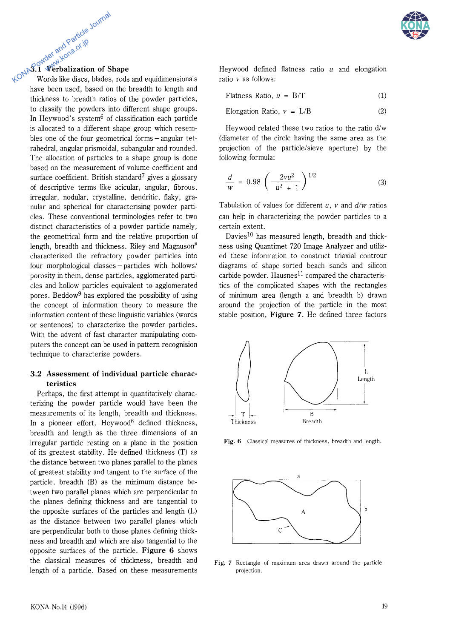

## **3.1 Verbalization of Shape**

Words like discs, blades, rods and equidimensionals have been used, based on the breadth to length and thickness to breadth ratios of the powder particles, to classify the powders into different shape groups. In Heywood's system<sup>6</sup> of classification each particle is allocated to a different shape group which resembles one of the four geometrical forms - angular tetrahedral, angular prismoidal, subangular and rounded. The allocation of particles to a shape group is done based on the measurement of volume coefficient and surface coefficient. British standard<sup>7</sup> gives a glossary of descriptive terms like acicular, angular, fibrous, irregular, nodular, crystalline, dendritic, flaky, granular and spherical for characterising powder particles. These conventional terminologies refer to two distinct characteristics of a powder particle namely, the geometrical form and the relative proportion of length, breadth and thickness. Riley and Magnuson $8$ characterized the refractory powder particles into four morphological classes- particles with hollows/ porosity in them, dense particles, agglomerated particles and hollow particles equivalent to agglomerated pores. Beddow<sup>9</sup> has explored the possibility of using the concept of information theory to measure the information content of these linguistic variables (words or sentences) to characterize the powder particles. With the advent of fast character manipulating computers the concept can be used in pattern recognision technique to characterize powders.

## **3.2 Assessment of individual particle characteristics**

Perhaps, the first attempt in quantitatively characterizing the powder particle would have been the measurements of its length, breadth and thickness. In a pioneer effort,  $H$ eywood<sup>6</sup> defined thickness, breadth and length as the three dimensions of an irregular particle resting on a plane in the position of its greatest stability. He defined thickness (T) as the distance between two planes parallel to the planes of greatest stability and tangent to the surface of the particle, breadth (B) as the minimum distance between two parallel planes which are perpendicular to the planes defining thickness and are tangential to the opposite surfaces of the particles and length (L) as the distance between two parallel planes which are perpendicular both to those planes defining thickness and breadth and which are also tangential to the opposite surfaces of the particle. **Figure 6** shows the classical measures of thickness, breadth and length of a particle. Based on these measurements Heywood defined flatness ratio *u* and elongation ratio *v* as follows:

$$
Flatness Ratio, u = B/T \tag{1}
$$

$$
Elongation Ratio, v = L/B
$$
 (2)

Heywood related these two ratios to the ratio d/w (diameter of the circle having the same area as the projection of the particle/sieve aperture) by the following formula:

$$
\frac{d}{w} = 0.98 \left( \frac{2vu^2}{u^2 + 1} \right)^{1/2} \tag{3}
$$

Tabulation of values for different  $u$ ,  $v$  and  $d/w$  ratios can help in characterizing the powder particles to a certain extent.

Davies $10$  has measured length, breadth and thickness using Quantimet 720 Image Analyzer and utilized these information to construct triaxial controur diagrams of shape-sorted beach sands and silicon carbide powder. Hausnes<sup>11</sup> compared the characteristics of the complicated shapes with the rectangles of minimum area (length a and breadth b) drawn around the projection of the particle in the most stable position, **Figure 7.** He defined three factors



Fig. 6 Classical measures of thickness. breadth and length.



Fig. 7 Rectangle of maximum area drawn around the particle projection.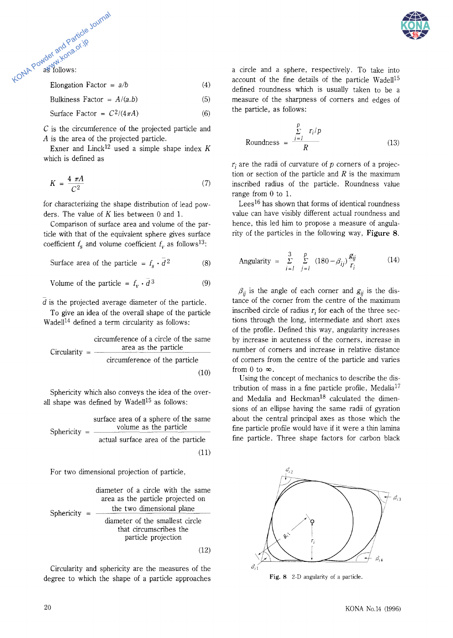

as follows:

$$
Elongation Factor = a/b \tag{4}
$$

Bulkiness Factor =  $A/(a.b)$ (5)

Surface Factor = 
$$
C^2/(4\pi A)
$$
 (6)

C is the circumference of the projected particle and A is the area of the projected particle.

Exner and Linck<sup>12</sup> used a simple shape index  $K$ which is defined as

$$
K = \frac{4 \pi A}{C^2} \tag{7}
$$

for characterizing the shape distribution of lead powders. The value of  $K$  lies between 0 and 1.

Comparison of surface area and volume of the particle with that of the equivalent sphere gives surface coefficient  $f_s$  and volume coefficient  $f_v$  as follows<sup>13</sup>:

Surface area of the particle =  $f_s \cdot \overline{d}^2$  (8)

Volume of the particle =  $f_v \cdot \overline{d}^3$  (9)

*d* is the projected average diameter of the particle.

To give an idea of the overall shape of the particle Wadell<sup>14</sup> defined a term circularity as follows:

$$
Circularity = \frac{\text{circumference of a circle of the same area as the particle}}{\text{circumference of the particle}}
$$
\n(10)

Sphericity which also conveys the idea of the overall shape was defined by Wadel $1^{15}$  as follows:

Sphericity surface area of a sphere of the same volume as the particle actual surface area of the particle (11)

For two dimensional projection of particle,

diameter of a circle with the same area as the particle projected on

\nSphericity = 
$$
\frac{\text{the two dimensional plane}}{\text{diameter of the smallest circle}}
$$

\nthat circumscribes the particle projection

\n(12)

Circularity and sphericity are the measures of the degree to which the shape of a particle approaches a circle and a sphere, respectively. To take into account of the fine details of the particle Wadell<sup>15</sup> defined roundness which is usually taken to be a measure of the sharpness of corners and edges of the particle, as follows:

$$
Roundness = \frac{\sum_{i=1}^{p} r_i/p}{R}
$$
 (13)

 $r_i$  are the radii of curvature of  $p$  corners of a projection or section of the particle and *R* is the maximum inscribed radius of the particle. Roundness value range from 0 to 1.

Lees16 has shown that forms of identical roundness value can have visibly different actual roundness and hence, this led him to propose a measure of angularity of the particles in the following way, **Figure 8.** 

$$
\text{Angularity} = \sum_{i=1}^{3} \sum_{j=1}^{p} (180 - \beta_{ij}) \frac{\mathbf{g}_{ij}}{r_i} \tag{14}
$$

 $\beta_{ij}$  is the angle of each corner and  $g_{ij}$  is the distance of the corner from the centre of the maximum inscribed circle of radius  $r_i$  for each of the three sections through the long, intermediate and short axes of the profile. Defined this way, angularity increases by increase in acuteness of the corners, increase in number of corners and increase in relative distance of corners from the centre of the particle and varies from 0 to  $\infty$ .

Using the concept of mechanics to describe the distribution of mass in a fine particle profile, Medalia<sup>17</sup> and Medalia and Heckman<sup>18</sup> calculated the dimensions of an ellipse having the same radii of gyration about the central principal axes as those which the fine particle profile would have if it were a thin lamina fine particle. Three shape factors for carbon black

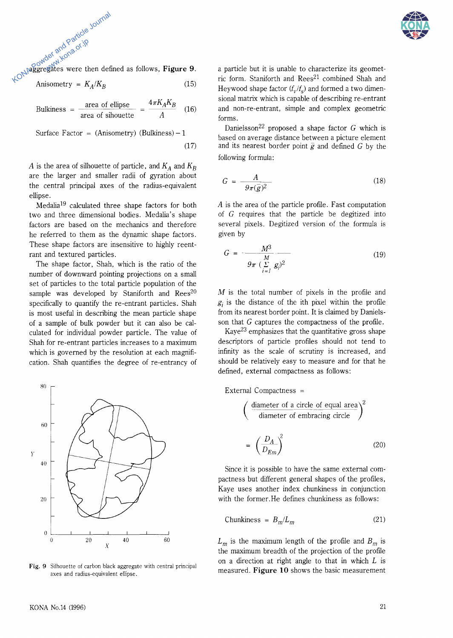

aggregates were then defined as follows, **Figure 9.** 

$$
Anisometry = K_A/K_B \tag{15}
$$

Bulkiness = 
$$
\frac{\text{area of ellipse}}{\text{area of the}\sqrt{4\pi K_A K_B}} = \frac{4\pi K_A K_B}{A}
$$
 (16)

Surface Factor = (Anisometry) (Bulkiness) – 1 
$$
(17)
$$

A is the area of silhouette of particle, and  $K_A$  and  $K_B$ are the larger and smaller radii of gyration about the central principal axes of the radius-equivalent ellipse.

Medalia19 calculated three shape factors for both two and three dimensional bodies. Medalia's shape factors are based on the mechanics and therefore he referred to them as the dynamic shape factors. These shape factors are insensitive to highly reentrant and textured particles.

The shape factor, Shah, which is the ratio of the number of downward pointing projections on a small set of particles to the total particle population of the sample was developed by Staniforth and  $Rees^{20}$ specifically to quantify the re-entrant particles. Shah is most useful in describing the mean particle shape of a sample of bulk powder but it can also be calculated for individual powder particle. The value of Shah for re-entrant particles increases to a maximum which is governed by the resolution at each magnification. Shah quantifies the degree of re-entrancy of



Fig. 9 Silhouette of carbon black aggregate with central principal axes and radius-equivalent ellipse.

a particle but it is unable to characterize its geometric form. Staniforth and Rees<sup>21</sup> combined Shah and Heywood shape factor  $(f_n/f_n)$  and formed a two dimensional matrix which is capable of describing re-entrant and non-re-entrant, simple and complex geometric forms.

Danielsson<sup>22</sup> proposed a shape factor  $G$  which is based on average distance between a picture element and its nearest border point  $\bar{g}$  and defined G by the following formula:

$$
G = \frac{A}{9\pi(\bar{g})^2} \tag{18}
$$

A is the area of the particle profile. Fast computation of G requires that the particle be degitized into several pixels. Degitized version of the formula is given by

$$
G = \frac{M^3}{g_\pi \left(\sum\limits_{i=1}^N g_i\right)^2} \tag{19}
$$

*M* is the total number of pixels in the profile and  $g_i$  is the distance of the ith pixel within the profile from its nearest border point. It is claimed by Danielsson that  $G$  captures the compactness of the profile.

Kaye<sup>23</sup> emphasizes that the quantitative gross shape descriptors of particle profiles should not tend to infinity as the scale of scrutiny is increased, and should be relatively easy to measure and for that he defined, external compactness as follows:

External Compactness =

$$
\left(\frac{\text{diameter of a circle of equal area}}{\text{diameter of embracing circle}}\right)^2
$$

$$
= \left(\frac{D_A}{D_{Em}}\right)^2 \tag{20}
$$

Since it is possible to have the same external compactness but different general shapes of the profiles, Kaye uses another index chunkiness in conjunction with the former.He defines chunkiness as follows:

$$
Chunkiness = B_m / L_m \tag{21}
$$

 $L_m$  is the maximum length of the profile and  $B_m$  is the maximum breadth of the projection of the profile on a direction at right angle to that in which  $L$  is measured. **Figure 10** shows the basic measurement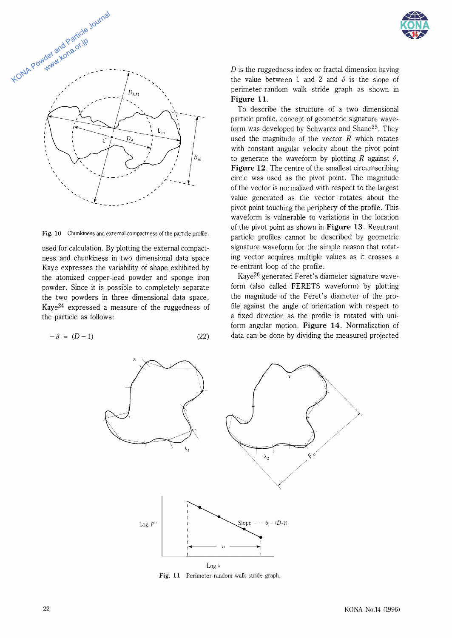



Fig. 10 Chunkiness and external compactness of the particle profile.

used for calculation. By plotting the external compactness and chunkiness in two dimensional data space Kaye expresses the variability of shape exhibited by the atomized copper-lead powder and sponge iron powder. Since it is possible to completely separate the two powders in three dimensional data space, Kaye24 expressed a measure of the ruggedness of the particle as follows:

$$
-\delta = (D-1) \tag{22}
$$

 $D$  is the ruggedness index or fractal dimension having the value between 1 and 2 and  $\delta$  is the slope of perimeter-random walk stride graph as shown in **Figure 11.** 

To describe the structure of a two dimensional particle profile, concept of geometric signature waveform was developed by Schwarcz and Shane25. They used the magnitude of the vector *R* which rotates with constant angular velocity about the pivot point to generate the waveform by plotting  $R$  against  $\theta$ , **Figure 12.** The centre of the smallest circumscribing circle was used as the pivot point. The magnitude of the vector is normalized with respect to the largest value generated as the vector rotates about the pivot point touching the periphery of the profile. This waveform is vulnerable to variations in the location of the pivot point as shown in **Figure 13.** Reentrant particle profiles cannot be described by geometric signature waveform for the simple reason that rotating vector acquires multiple values as it crosses a re-entrant loop of the profile.

Kaye26 generated Feret's diameter signature waveform (also called FERETS waveform) by plotting the magnitude of the Feret's diameter of the profile against the angle of orientation with respect to a fixed direction as the profile is rotated with uniform angular motion, **Figure 14.** Normalization of data can be done by dividing the measured projected



Fig. 11 Perimeter-random walk stride graph.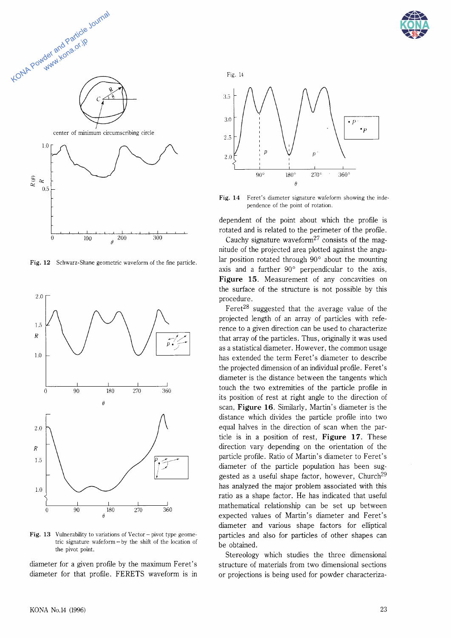



Fig. 12 Schwarz-Shane geometric waveform of the fine particle.



Fig. 13 Vulnerability to variations of Vector- pivot type geometric signature wafeform- by the shift of the location of the pivot point.

diameter for a given profile by the maximum Feret's diameter for that profile. FERETS waveform is in



Fig. 14 Feret's diameter signature wafeform showing the independence of the point of rotation.

dependent of the point about which the profile is rotated and is related to the perimeter of the profile. Cauchy signature waveform $27$  consists of the magnitude of the projected area plotted against the angular position rotated through  $90^\circ$  about the mounting axis and a further  $90^\circ$  perpendicular to the axis, **Figure 15.** Measurement of any concavities on the surface of the structure is not possible by this procedure.

Feret<sup>28</sup> suggested that the average value of the projected length of an array of particles with reference to a given direction can be used to characterize that array of the particles. Thus, originally it was used as a statistical diameter. However, the common usage has extended the term Feret's diameter to describe the projected dimension of an individual profile. Feret's diameter is the distance between the tangents which touch the two extremities of the particle profile in its position of rest at right angle to the direction of scan, **Figure 16.** Similarly, Martin's diameter is the distance which divides the particle profile into two equal halves in the direction of scan when the particle is in a position of rest, **Figure 17.** These direction vary depending on the orientation of the particle profile. Ratio of Martin's diameter to Feret's diameter of the particle population has been suggested as a useful shape factor, however, Church<sup>29</sup> has analyzed the major problem associated with this ratio as a shape factor. He has indicated that useful mathematical relationship can be set up between expected values of Martin's diameter and Feret's diameter and various shape factors for elliptical particles and also for particles of other shapes can be obtained.

Stereology which studies the three dimensional structure of materials from two dimensional sections or projections is being used for powder characteriza-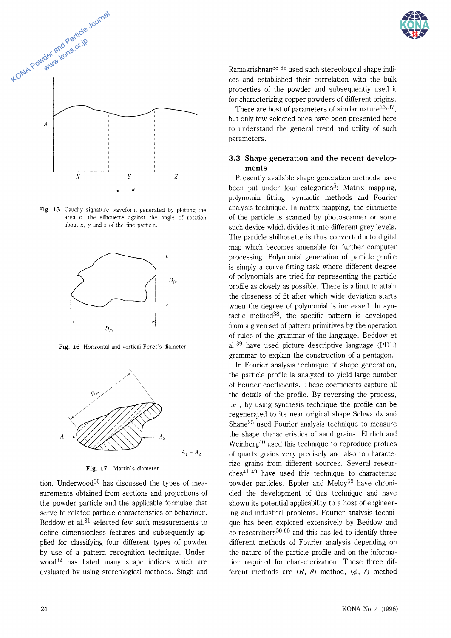



Fig. 15 Cauchy signature waveform generated by plotting the area of the silhouette against the angle of rotation about x, *y* and z of the fine particle.



Fig. 16 Horizontal and vertical Feret's diameter.



Fig. 17 Martin's diameter.

tion. Underwood $30$  has discussed the types of measurements obtained from sections and projections of the powder particle and the applicable formulae that serve to related particle characteristics or behaviour. Beddow et al. $31$  selected few such measurements to define dimensionless features and subsequently applied for classifying four different types of powder by use of a pattern recognition technique. Underwood32 has listed many shape indices which are evaluated by using stereological methods. Singh and

Ramakrishnan33-35 used such stereological shape indices and established their correlation with the bulk properties of the powder and subsequently used it for characterizing copper powders of different origins.

There are host of parameters of similar nature $36,37$ , but only few selected ones have been presented here to understand the general trend and utility of such parameters.

# 3.3 Shape generation and the recent developments

Presently available shape generation methods have been put under four categories<sup>5</sup>: Matrix mapping, polynomial fitting, syntactic methods and Fourier analysis technique. In matrix mapping, the silhouette of the particle is scanned by photoscanner or some such device which divides it into different grey levels. The particle shilhouette is thus converted into digital map which becomes amenable for further computer processing. Polynomial generation of particle profile is simply a curve fitting task where different degree of polynomials are tried for representing the particle profile as closely as possible. There is a limit to attain the closeness of fit after which wide deviation starts when the degree of polynomial is increased. In syntactic method $38$ , the specific pattern is developed from a given set of pattern primitives by the operation of rules of the grammar of the language. Beddow et al.<sup>39</sup> have used picture descriptive language (PDL) grammar to explain the construction of a pentagon.

In Fourier analysis technique of shape generation, the particle profile is analyzed to yield large number of Fourier coefficients. These coefficients capture all the details of the profile. By reversing the process, i.e., by using synthesis technique the profile can be regenerated to its near original shape.Schwardz and Shane<sup>25</sup> used Fourier analysis technique to measure the shape characteristics of sand grains. Ehrlich and Weinberg $40$  used this technique to reproduce profiles of quartz grains very precisely and also to characterize grains from different sources. Several researches41-49 have used this technique to characterize powder particles. Eppler and Meloy<sup>50</sup> have chronicled the development of this technique and have shown its potential applicability to a host of engineering and industrial problems. Fourier analysis technique has been explored extensively by Beddow and  $co-researchers<sup>50-60</sup>$  and this has led to identify three different methods of Fourier analysis depending on the nature of the particle profile and on the information required for characterization. These three different methods are  $(R, \theta)$  method,  $(\phi, \ell)$  method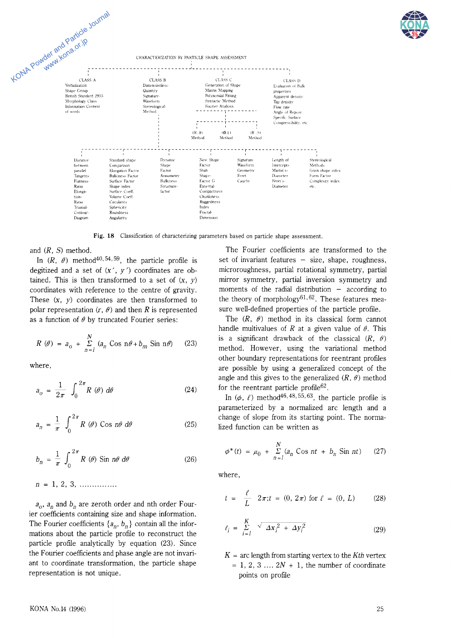

CHARACTERIZATION BY PARTICLE SHAPE ASSESSMENT '. **<sup>1</sup>**-----------------------------~---------------------------- 1 1 I CLASS A Verbalization Shape Croup CLASS H Dimensionless (J.A.SS C Generation of Shap Matrix Manning Polynomial Fitting Svntactic Method Founer Analysis CLASS D Evaluation of Bulk properties Apparent density Tap density Flow rate British Standard 2955 Morphology Class Information Conten of words **Quantity** Signature Waveform Stereological<br>Method ~1ethod --------~--------- Angk oi Repose Specific Surface Compressibility. etc. ' ' '  $(R, H)$ Method  $(6.1)$ Method  $(R, S)$ ~1ethod ~- - - - - - - - - - - - ~- - - - - - - - - - - - - r - - - - - - - - - - - **r** - - - - - - - - - **r** - - - - - - - - - **<sup>1</sup>**- - - - - - - - - - In Unitanum Dynamic Standard Standard shape 1. Shape Signature 1. Earth of Stereological Standard Standard Standard Standard Standard Standard Standard Standard Standard Standard Standard Standard Standard Standard Standar between Companson Sl1dpt' Factor \\'aveform Intercept-- ~1ethud:-. paramility<br>Grain shape index Tangt'nb Rulkme:-.:,; Ftlctor Arusometrv Shapt> Ft·rf't D1nnwtt>r h)fln Factor Flatness- SurfacE' Factor Rulkme:-.s Frtctor C Cauchv Fewt's Complt'Xl!\ mdex RatJo Shape mdex Structure- External D1amt'ter t'\( Elonga- Surface Coeff. factor Compactness t10n- \Oiurne Coeff ChunkmPss Ruggedness<br>Index Triaxial- Sphericity Sphericity Index<br>
1992 - Contour- Roundness Index Fractal-Roundness Diagram Angularity **Dimension** 

Fig. 18 Classification of characterizing parameters based on particle shape assessment.

#### and  $(R, S)$  method.

In  $(R, \theta)$  method<sup>40, 54, 59</sup>, the particle profile is degitized and a set of  $(x', y')$  coordinates are obtained. This is then transformed to a set of  $(x, y)$ coordinates with reference to the centre of gravity. These  $(x, y)$  coordinates are then transformed to polar representation  $(r, \theta)$  and then R is represented as a function of  $\theta$  by truncated Fourier series:

$$
R(\theta) = a_0 + \sum_{n=1}^{N} (a_n \cos n\theta + b_m \sin n\theta)
$$
 (23)

where,

$$
a_o = \frac{1}{2\pi} \int_0^{2\pi} R(\theta) d\theta \qquad (24)
$$

$$
a_n = \frac{1}{\pi} \int_0^{2\pi} R(\theta) \cos n\theta \, d\theta \qquad (25)
$$

$$
b_n = \frac{1}{\pi} \int_0^{2\pi} R(\theta) \sin n\theta \, d\theta \tag{26}
$$

$$
n = 1, 2, 3, \dots
$$

 $a_0$ ,  $a_n$  and  $b_n$  are zeroth order and nth order Fourier coefficients containing size and shape information. The Fourier coefficients  $\{a_n, b_n\}$  contain all the informations about the particle profile to reconstruct the particle profile analytically by equation (23). Since the Fourier coefficients and phase angle are not invariant to coordinate transformation, the particle shape representation is not unique.

The Fourier coefficients are transformed to the set of invariant features  $-$  size, shape, roughness, microroughness, partial rotational symmetry, partial mirror symmetry, partial inversion symmetry and moments of the radial distribution  $-$  according to the theory of morphology $61, 62$ . These features measure well-defined properties of the particle profile.

The  $(R, \theta)$  method in its classical form cannot handle multivalues of R at a given value of  $\theta$ . This is a significant drawback of the classical  $(R, \theta)$ method. However, using the variational method other boundary representations for reentrant profiles are possible by using a generalized concept of the angle and this gives to the generalized  $(R, \theta)$  method for the reentrant particle profile<sup>62</sup>.

In  $(\phi, \ell)$  method<sup>46,48,55,63</sup>, the particle profile is parameterized by a normalized arc length and a change of slope from its starting point. The norma- $\ell$  lized function can be written as

$$
\phi^*(t) = \mu_0 + \sum_{n=1}^{N} (a_n \cos nt + b_n \sin nt) \qquad (27)
$$

where,

$$
t = \frac{\ell}{L} \quad 2\pi; t = (0, 2\pi) \text{ for } \ell = (0, L) \tag{28}
$$

$$
\ell_i = \sum_{i=1}^K \sqrt{Ax_i^2 + Ay_i^2} \tag{29}
$$

 $K =$  arc length from starting vertex to the Kth vertex  $= 1, 2, 3, \ldots 2N + 1$ , the number of coordinate points on profile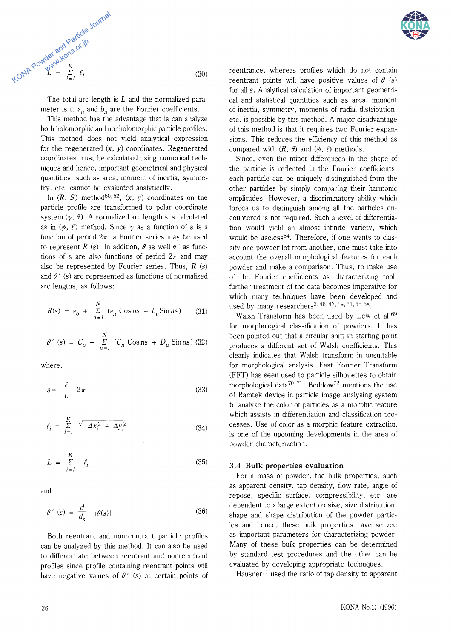

$$
L = \sum_{i=1}^{K} \ell_i \tag{30}
$$

The total arc length is  $L$  and the normalized parameter is t.  $a_n$  and  $b_n$  are the Fourier coefficients.

This method has the advantage that is can analyze both holomorphic and nonholomorphic particle profiles. This method does not yield analytical expression for the regenerated  $(x, y)$  coordinates. Regenerated coordinates must be calculated using numerical techniques and hence, important geometrical and physical quantities, such as area, moment of inertia, symmetry, etc. cannot be evaluated analytically.

In  $(R, S)$  method<sup>60,62</sup>,  $(x, y)$  coordinates on the particle profile are transformed to polar coordinate system  $(\gamma, \theta)$ . A normalized arc length s is calculated as in  $(\phi, \ell)$  method. Since  $\gamma$  as a function of s is a function of period  $2\pi$ , a Fourier series may be used to represent R (s). In addition,  $\theta$  as well  $\theta'$  as functions of s are also functions of period  $2\pi$  and may also be represented by Fourier series. Thus,  $R(s)$ and  $\theta'$  (s) are represented as functions of normalized arc lengths, as follows:

$$
R(s) = a_o + \sum_{n=1}^{N} (a_n \cos ns + b_n \sin ns)
$$
 (31)

$$
\theta' (s) = C_o + \sum_{n=1}^{N} (C_n \text{Cos} n s + D_n \text{Sin} n s) (32)
$$

where,

$$
s = \frac{\ell}{L} \quad 2\pi \tag{33}
$$

$$
\ell_i = \sum_{i=1}^{K} \sqrt{\Delta x_i^2 + \Delta y_i^2}
$$
 (34)

$$
L = \sum_{i=1}^{K} \ell_i \tag{35}
$$

and

$$
\theta' (s) = \frac{d}{d_s} \quad [\theta(s)] \tag{36}
$$

Both reentrant and nonreentrant particle profiles can be analyzed by this method. It can also be used to differentiate between reentrant and nonreentrant profiles since profile containing reentrant points will have negative values of  $\theta'$  (s) at certain points of reentrance, whereas profiles which do not contain reentrant points will have positive values of  $\theta$  (s) for all s. Analytical calculation of important geometrical and statistical quantities such as area, moment of inertia, symmetry, moments of radial distribution, etc. is possible by this method. A major disadvantage of this method is that it requires two Fourier expansions. This reduces the efficiency of this method as compared with  $(R, \theta)$  and  $(\phi, \ell)$  methods.

Since, even the minor differences in the shape of the particle is reflected in the Fourier coefficients, each particle can be uniquely distinguished from the other particles by simply comparing their harmonic amplitudes. However, a discriminatory ability which forces us to distinguish among all the particles encountered is not required. Such a level of differentiation would yield an almost infinite variety, which would be useless $64$ . Therefore, if one wants to classify one powder lot from another, one must take into account the overall morphological features for each powder and make a comparison. Thus, to make use of the Fourier coefficients as characterizing tool, further treatment of the data becomes imperative for which many techniques have been developed and used by many researchers<sup>2, 46, 47, 49, 61, 65-68</sup>.

Walsh Transform has been used by Lew et al.<sup>69</sup> for morphological classification of powders. It has been pointed out that a circular shift in starting point produces a different set of Walsh coefficients. This clearly indicates that Walsh transform in unsuitable for morphological analysis. Fast Fourier Transform (FFT) has seen used to particle silhouettes to obtain morphological data<sup>70, 71</sup>. Beddow<sup>72</sup> mentions the use of Ramtek device in particle image analysing system to analyze the color of particles as a morphic feature which assists in differentiation and classification processes. Use of color as a morphic feature extraction is one of the upcoming developments in the area of powder characterization.

#### **3.4 Bulk properties evaluation**

For a mass of powder, the bulk properties, such as apparent density, tap density, flow rate, angle of repose, specific surface, compressibility, etc. are dependent to a large extent on size, size distribution, shape and shape distribution of the powder particles and hence, these bulk properties have served as important parameters for characterizing powder. Many of these bulk properties can be determined by standard test procedures and the other can be evaluated by developing appropriate techniques.

Hausner<sup>11</sup> used the ratio of tap density to apparent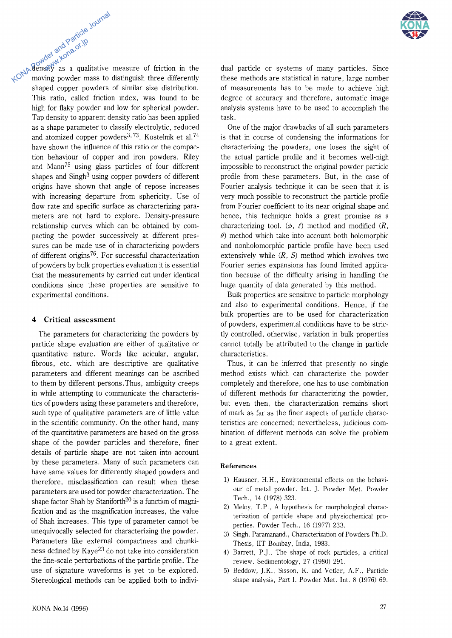

density as a qualitative measure of friction in the moving powder mass to distinguish three differently shaped copper powders of similar size distribution. This ratio, called friction index, was found to be high for flaky powder and low for spherical powder. Tap density to apparent density ratio has been applied as a shape parameter to classify electrolytic, reduced and atomized copper powders $3, 73$ . Kostelnik et al.<sup>74</sup> have shown the influence of this ratio on the compaction behaviour of copper and iron powders. Riley and Mann<sup>75</sup> using glass particles of four different shapes and  $\text{Singh}^3$  using copper powders of different origins have shown that angle of repose increases with increasing departure from sphericity. Use of flow rate and specific surface as characterizing parameters are not hard to explore. Density-pressure relationship curves which can be obtained by compacting the powder successively at different pressures can be made use of in characterizing powders of different origins 76. For successful characterization of powders by bulk properties evaluation it is essential that the measurements by carried out under identical conditions since these properties are sensitive to experimental conditions.

# **4 Critical assessment**

The parameters for characterizing the powders by particle shape evaluation are either of qualitative or quantitative nature. Words like acicular, angular, fibrous, etc. which are descriptive are qualitative parameters and different meanings can be ascribed to them by different persons. Thus, ambiguity creeps in while attempting to communicate the characteristics of powders using these parameters and therefore, such type of qualitative parameters are of little value in the scientific community. On the other hand, many of the quantitative parameters are based on the gross shape of the powder particles and therefore, finer details of particle shape are not taken into account by these parameters. Many of such parameters can have same values for differently shaped powders and therefore, misclassification can result when these parameters are used for powder characterization. The shape factor Shah by Staniforth<sup>20</sup> is a function of magnification and as the magnification increases, the value of Shah increases. This type of parameter cannot be unequivocally selected for characterizing the powder. Parameters like external compactness and chunkiness defined by Kaye23 do not take into consideration the fine-scale perturbations of the particle profile. The use of signature waveforms is yet to be explored. Stereological methods can be applied both to individual particle or systems of many particles. Since these methods are statistical in nature, large number of measurements has to be made to achieve high degree of accuracy and therefore, automatic image analysis systems have to be used to accomplish the task.

One of the major drawbacks of all such parameters is that in course of condensing the informations for characterizing the powders, one loses the sight of the actual particle profile and it becomes well-nigh impossible to reconstruct the original powder particle profile from these parameters. But, in the case of Fourier analysis technique it can be seen that it is very much possible to reconstruct the particle profile from Fourier coefficient to its near original shape and hence, this technique holds a great promise as a characterizing tool.  $(\phi, \ell)$  method and modified  $(R, \ell)$  $(\theta)$  method which take into account both holomorphic and nonholomorphic particle profile have been used extensively while  $(R, S)$  method which involves two Fourier series expansions has found limited application because of the difficulty arising in handling the huge quantity of data generated by this method.

Bulk properties are sensitive to particle morphology and also to experimental conditions. Hence, if the bulk properties are to be used for characterization of powders, experimental conditions have to be strictly controlled, otherwise, variation in bulk properties cannot totally be attributed to the change in particle characteristics.

Thus, it can be inferred that presently no single method exists which can characterize the powder completely and therefore, one has to use combination of different methods for characterizing the powder, but even then, the characterization remains short of mark as far as the finer aspects of particle characteristics are concerned; nevertheless, judicious combination of different methods can solve the problem to a great extent.

#### **References**

- 1) Hausner, H.H., Environmental effects on the behaviour of metal powder. Int. *].* Powder Met. Powder Tech., 14 (1978) 323.
- 2) Meloy, T.P., A hypothesis for morphological characterization of particle shape and physiochemical properties. Powder Tech., 16 (1977) 233.
- 3) Singh, Paramanand., Characterization of Powders Ph.D. Thesis, liT Bombay, India, 1983.
- 4) Barrett, P.J., The shape of rock particles, a critical review. Sedimentology, 27 (1980) 291.
- 5) Beddow, ].K., Sisson, K. and Vetler, A.F., Particle shape analysis, Part I. Powder Met. Int. 8 (1976) 69.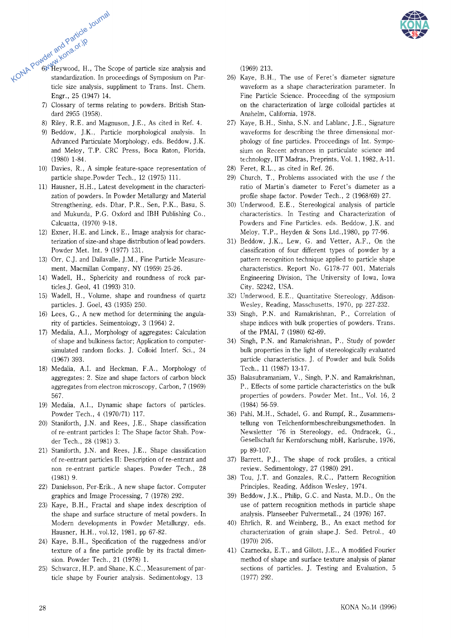

- 6) Heywood, H., The Scope of particle size analysis and standardization. In proceedings of Symposium on Particle size analysis, suppliment to Trans. Inst. Chern. Engr., 25 (1947) 14.
- 7) Clossary of terms relating to powders. British Standard 2955 (1958).
- 8) Riley, R.E. and Magnuson, ].E., As cited in Ref. 4.
- 9) Beddow, *].K.,* Particle morphological analysis. In Advanced Particulate Morphology, eds. Beddow, *].K.*  and Meloy, T.P. CRC Press, Boca Raton, Florida, (1980) 1-84.
- 10) Davies, R., A simple feature-space representation of particle shape.Powder Tech., 12 (1975) 111.
- 11) Hausner, H.H., Latest development in the characterization of powders. In Powder Metallurgy and Material Strengthening, eds. Dhar, P.R., Sen, P.K., Basu, S. and Mukunda, P.G. Oxford and IBH Publishing Co., Calcuatta, (1970) 9-18.
- 12) Exner, H.E. and Linck, E., Image analysis for characterization of size-and shape distribution of lead powders. Powder Met. Int. 9 (1977) 131.
- 13) Orr, C.J. and Dallavalle, J.M., Fine Particle Measurement, Macmillan Company, NY (1959) 25-26.
- 14) Wadell, H., Sphericity and roundness of rock particles.]. Geol, 41 (1993) 310.
- 15) Wadell, H., Volume, shape and roundness of quartz particles. *].* Goe!, 43 (1935) 250.
- 16) Lees, G., A new method for determining the angularity of particles. Seimentology, 3 (1964) 2.
- 17) Medalia, A.I., Morphology of aggregates: Calculation of shape and bulkiness factor; Application to computersimulated random flocks. *].* Colloid Interf. Sci., 24 (1967) 393.
- 18) Medalia, A.I. and Heckman, F.A., Morphology of aggregates: 2. Size and shape factors of carbon block aggregates from electron microscopy, Carbon, 7 (1969) 567.
- 19) Medalia, A.I., Dynamic shape factors of particles. Powder Tech., 4 (1970/71) 117.
- 20) Staniforth, ].N. and Rees, ].E., Shape classification of re-entrant particles I: The Shape factor Shah. Powder Tech., 28 (1981) 3.
- 21) Staniforth, ].N. and Rees, ].E., Shape classification of re-entrant particles II: Description of re-entrant and non re-entrant particle shapes. Powder Tech., 28 (1981) 9.
- 22) Danielsson, Per-Erik., A new shape factor. Computer graphics and Image Processing, 7 (1978) 292.
- 23) Kaye, B.H., Fractal and shape index description of the shape and surface structure of metal powders. In Modern developments in Powder Metallurgy, eds. Hausner, H.H., vol.l2, 1981, pp 67-82.
- 24) Kaye, B.H., Specification of the ruggedness and/or texture of a fine particle profile by its fractal dimension. Powder Tech., 21 (1978) 1.
- 25) Schwarcz, H.P. and Shane, K.C., Measurement of particle shape by Fourier analysis. Sedimentology, 13

(1969) 213.

- 26) Kaye, B.H., The use of Feret's diameter signature waveform as a shape characterization parameter. In Fine Particle Science. Proceeding of the symposium on the characterization of large colloidal particles at Anaheim, California, 1978.
- 27) Kaye, B.H., Sinha, S.N. and Lablanc, ].E., Signature waveforms for describing the three dimensional morphology of fine particles. Proceedings of Int. Symposium on Recent advances in particulate science and technology, liT Madras, Preprints, Vol. 1, 1982, A-11.
- 28) Feret, R.L., as cited in Ref. 26.
- 29) Church, T., Problems associated with the use f the ratio of Martin's diameter to Feret's diameter as a profile shape factor. Powder Tech., 2 (1968/69) 27.
- 30) Underwood, E.E., Stereological analysis of particle characteristics. In Testing and Characterization of Powders and Fine Particles. eds. Beddow, ].K. and Meloy, T.P., Heyden & Sons Ltd.,1980, pp 77-96.
- 31) Beddow, *].K.,* Lew, G. and Vetter, A.F., On the classification of four different types of powder by a pattern recognition technique applied to particle shape characteristics. Report No. G178-77 001, Materials Engineering Division, The University of Iowa, Iowa City. 52242, USA.
- 32) Underwood, E.E., Quantitative Stereology, Addison-Wesley, Reading, Masschusetts, 1970, pp 227-232.
- 33) Singh, P.N. and Ramakrishnan, P., Correlation of shape indices with bulk properties of powders. Trans. of the PMAI, 7 (1980) 62-69.
- 34) Singh, P.N. and Ramakrishnan, P., Study of powder bulk properties in the light of stereologically evaluated particle characteristics. *].* of Powder and bulk Solids Tech., 11 (1987) 13-17.
- 35) Balasubramaniam, V., Singh, P .N. and Ramakrishnan, P., Effects of some particle characteristics on the bulk properties of powders. Powder Met. Int., Vol. 16, 2 (1984) 56-59.
- 36) Pahl, M.H., Schadel, G. and Rumpf, R., Zusammenstellung von Teilchenformbeschreibungsmethoden. In Newsletter '76 in Stereology, ed. Ondracek, G., Gesellschaft fur Kernforschung mbH, Karlsruhe, 1976, pp 89-107.
- 37) Barrett, P.]., The shape of rock profiles, a critical review. Sedimentology, 27 (1980) 291.
- 38) Tou, ].T. and Gonzales, R.C., Pattern Recognition Principles, Reading, Addison Wesley, 1974.
- 39) Beddow, ].K., Philip, G.C. and Nasta, M.D., On the use of pattern recognition methods in particle shape analysis. Planseeber Pulvermetall., 24 (1976) 167.
- 40) Ehrlich, R. and Weinberg, B., An exact method for characterization of grain shape.]. Sed. Petrol., 40 (1970) 205.
- 41) Czarnecka, E.T., and Gillott, *].E.,* A modified Fourier method of shape and surface texture analysis of planar sections of particles. *].* Testing and Evaluation, 5 (1977) 292.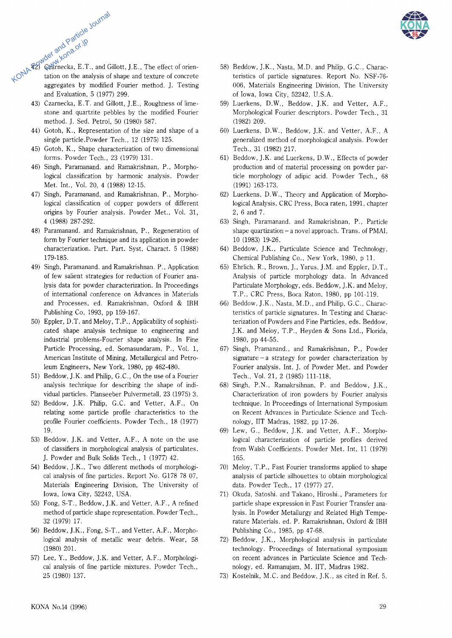

- 42) Czarnecka, E.T., and Gillott, ].E., The effect of orientation on the analysis of shape and texture of concrete aggregates by modified Fourier method. *].* Testing and Evaluation, 5 (1977) 299.
- 43) Czarnecka, E.T. and Gillott, ].E., Roughness of limestone and quartzite pebbles by the modified Fourier method. *].* Sed. Petrol, 50 (1980) 587.
- 44) Gotoh, K., Representation of the size and shape of a single particle.Powder Tech., 12 (1975) 125.
- 45) Gotoh, K., Shape characterization of two dimensional forms. Powder Tech., 23 (1979) 131.
- 46) Singh, Paramanand. and Ramakrishnan, P., Morphological classification by harmonic analysis. Powder Met. Int., Vol. 20, 4 (1988) 12-15.
- 47) Singh, Paramanand, and Ramakrishnan, P., Morphological classification of copper powders of different origins by Fourier analysis. Powder Met., Vol. 31, 4 (1988) 287-292.
- 48) Paramanand. and Ramakrishnan, P., Regeneration of form by Fourier technique and its application in powder characterization. Part. Part. Syst, Charact. 5 (1988) 179-185.
- 49) Singh, Paramanand. and Ramakrishnan. P., Application of few salient strategies for reduction of Fourier analysis data for powder characterization. In Proceedings of international conference on Advances in Materials and Processes, ed. Ramakrishnan, Oxford & IBH Publishing Co, 1993, pp 159-167.
- 50) Eppler, D.T. and Meloy, T.P., Applicability of sophisticated shape analysis technique to engineering and industrial problems-Fourier shape analysis. In Fine Particle Processing, ed. Somasundaram, P., Vol. 1, American Institute of Mining, Metallurgical and Petroleum Engineers, New York, 1980, pp 462-480.
- 51) Beddow, *].K.* and Philip, G.C., On the use of a Fourier analysis technique for describing the shape of individual particles. Planseeber Pulvermetall, 23 (1975) 3.
- 52) Beddow, ].K. Philip, G.C. and Vetter, A.F., On relating some particle profile characteristics to the profile Fourier coefficients. Powder Tech., 18 (1977) 19.
- 53) Beddow, ].K. and Vetter, A.F., A note on the use of classifiers in morphological analysis of particulates. *].* Powder and Bulk Solids Tech., 1 (1977) 42.
- 54) Beddow, ].K., Two different methods of morphological analysis of fine particles. Report No. G178 78 07, Materials Engineering Division, The University of Iowa, Iowa City, 52242, USA.
- 55) Fong, S-T., Beddow, *].K.* and Vetter, A.F., A refined method of particle shape representation. Powder Tech., 32 (1979) 17.
- 56) Beddow, *].K.,* Fong, S-T., and Vetter, A.F., Morphological analysis of metallic wear debris. Wear, 58 (1980) 201.
- 57) Lee, Y., Beddow, *].K.* and Vetter, A.F., Morphological analysis of fine particle mixtures. Powder Tech., 25 (1980) 137.
- 58) Beddow, *].K.,* Nasta, M.D. and Philip, G.C., Characteristics of particle signatures. Report No. NSF-76- 006, Materials Engineering Division, The University of Iowa, Iowa City, 52242, U.S.A.
- 59) Luerkens, D.W., Beddow, *].K.* and Vetter, A.F., Morphological Fourier descriptors. Powder Tech., 31 (1982) 209.
- 60) Luerkens, D.W., Beddow, *].K.* and Vetter, A.F., A generalized method of morphological analysis. Powder Tech., 31 (1982) 217.
- 61) Beddow, *].K.* and Luerkens, D.W., Effects of powder production and of material processing on powder particle morphology of adipic acid. Powder Tech., 68 (1991) 163-173.
- 62) Luerkens, D.W., Theory and Application of Morphological Analysis, CRC Press, Boca raten, 1991, chapter 2, 6 and 7.
- 63) Singh, Paramanand. and Ramakrishnan, P., Particle shape quartization  $-$  a novel approach. Trans. of PMAI, 10 (1983) 19-26.
- 64) Beddow, *].K.,* Particulate Science and Technology, Chemical Publishing Co., New York, 1980, p 11.
- 65) Ehrlich, R., *Brown,].,* Yarus, *].M.* and Eppler, D.T., Analysis of particle morphology data. In Advanced Particulate Morphology, eds. Beddow, *].K.* and Meloy, T.P., CRC Press, Boca Raton, 1980, pp 101-119.
- 66) Beddow, ].K., Nasta, M.D., and Philip, G.C., Characteristics of particle signatures. In Testing and Characterization of Powders and Fine Particles, eds. Beddow, *].K.* and Meloy, T.P., Heyden & Sons Ltd., Florida, 1980, pp 44-55.
- 67) Singh, Pramanand., and Ramakrishnan, P., Powder signature  $-a$  strategy for powder characterization by Fourier analysis. Int. *].* of Powder Met. and Powder Tech., Vol. 21, 2 (1985) 111-118.
- 68) Singh, P.N., Ramakrsihnan, P. and Beddow, ].K., Characterization of iron powders by Fourier analysis technique. In Proceedings of International Symposium on Recent Advances in Particulate Science and Technology, liT Madras, 1982, pp 17-26.
- 69) Lew, G., Beddow, *].K.* and Vetter, A.F., Morphological characterization of particle profiles derived from Walsh Coefficients. Powder Met. Int, 11 (1979) 165.
- 70) Meloy, T.P., Fast Fourier transforms applied to shape analysis of particle silhouettes to obtain morphological data. Powder Tech., 17 (1977) 27.
- 71) Okuda, Satoshi. and Takano, Hiroshi., Parameters for particle shape expression in Fast Fourier Transfer analysis. In Powder Metallurgy and Related High Temperature Materials. ed. P. Ramakrishnan, Oxford & IBH Publishing Co., 1985, pp 47-68.
- 72) Beddow, ].K., Morphological analysis in particulate technology. Proceedings of International symposium on recent advances in Particulate Science and Technology, ed. Ramanujam, M. liT, Madras 1982.
- 73) Kostelnik, M.C. and Beddow, *].K.,* as cited in Ref. 5.